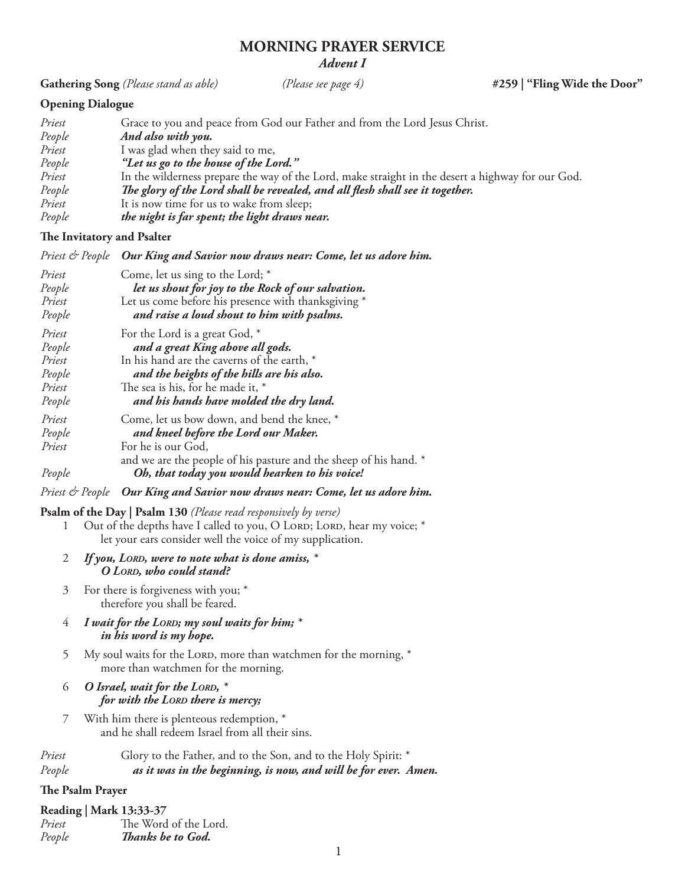# **MORNING PRAYER SERVICE** *Advent I*

**Gathering Song** *(Please stand as able) (Please see page 4)* **#259 | "Fling Wide the Door"**

# **Opening Dialogue**

| Priest | Grace to you and peace from God our Father and from the Lord Jesus Christ.                        |
|--------|---------------------------------------------------------------------------------------------------|
| People | And also with you.                                                                                |
| Priest | I was glad when they said to me,                                                                  |
| People | "Let us go to the house of the Lord."                                                             |
| Priest | In the wilderness prepare the way of the Lord, make straight in the desert a highway for our God. |
| People | The glory of the Lord shall be revealed, and all flesh shall see it together.                     |
| Priest | It is now time for us to wake from sleep;                                                         |
| People | the night is far spent; the light draws near.                                                     |

## **The Invitatory and Psalter**

|                   | Priest & People Our King and Savior now draws near: Come, let us adore him.                                                                                                                                                                                                                                                                                            |
|-------------------|------------------------------------------------------------------------------------------------------------------------------------------------------------------------------------------------------------------------------------------------------------------------------------------------------------------------------------------------------------------------|
| Priest            | Come, let us sing to the Lord; *                                                                                                                                                                                                                                                                                                                                       |
| $D_{\text{max}}L$ | $l_{1}, l_{2}, l_{3}, l_{4}, l_{5}, l_{6}, l_{7}, l_{8}, l_{10}, l_{11}, l_{12}, l_{13}, l_{14}, l_{15}, l_{16}, l_{17}, l_{18}, l_{19}, l_{10}, l_{11}, l_{12}, l_{13}, l_{14}, l_{15}, l_{16}, l_{17}, l_{18}, l_{19}, l_{10}, l_{11}, l_{12}, l_{13}, l_{14}, l_{15}, l_{16}, l_{17}, l_{18}, l_{19}, l_{10}, l_{11}, l_{12}, l_{13}, l_{14}, l_{15}, l_{16}, l_{1$ |

| People | let us shout for joy to the Rock of our salvation.                |
|--------|-------------------------------------------------------------------|
| Priest | Let us come before his presence with thanksgiving *               |
| People | and raise a loud shout to him with psalms.                        |
| Priest | For the Lord is a great God, *                                    |
| People | and a great King above all gods.                                  |
| Priest | In his hand are the caverns of the earth, *                       |
| People | and the heights of the hills are his also.                        |
| Priest | The sea is his, for he made it, *                                 |
| People | and his hands have molded the dry land.                           |
| Priest | Come, let us bow down, and bend the knee, *                       |
| People | and kneel before the Lord our Maker.                              |
| Priest | For he is our God,                                                |
|        | and we are the people of his pasture and the sheep of his hand. * |
| People | Oh, that today you would hearken to his voice!                    |
|        |                                                                   |

## *Priest & People Our King and Savior now draws near: Come, let us adore him.*

## **Psalm of the Day | Psalm 130** *(Please read responsively by verse)*

- 1 Out of the depths have I called to you, O LORD; LORD, hear my voice; \* let your ears consider well the voice of my supplication.
- 2 *If you, Lord, were to note what is done amiss, \* O Lord, who could stand?*
- 3 For there is forgiveness with you; \* therefore you shall be feared.
- 4 *I wait for the Lord; my soul waits for him; \* in his word is my hope.*
- 5 My soul waits for the LORD, more than watchmen for the morning,  $*$ more than watchmen for the morning.
- 6 *O Israel, wait for the Lord, \* for with the Lord there is mercy;*
- 7 With him there is plenteous redemption, \* and he shall redeem Israel from all their sins.
- *Priest* Glory to the Father, and to the Son, and to the Holy Spirit: \* *People**as it was in the beginning, is now, and will be for ever. Amen.*

# **The Psalm Prayer**

|        | <b>Reading   Mark 13:33-37</b> |
|--------|--------------------------------|
| Priest | The Word of the Lord.          |
| People | Thanks be to God.              |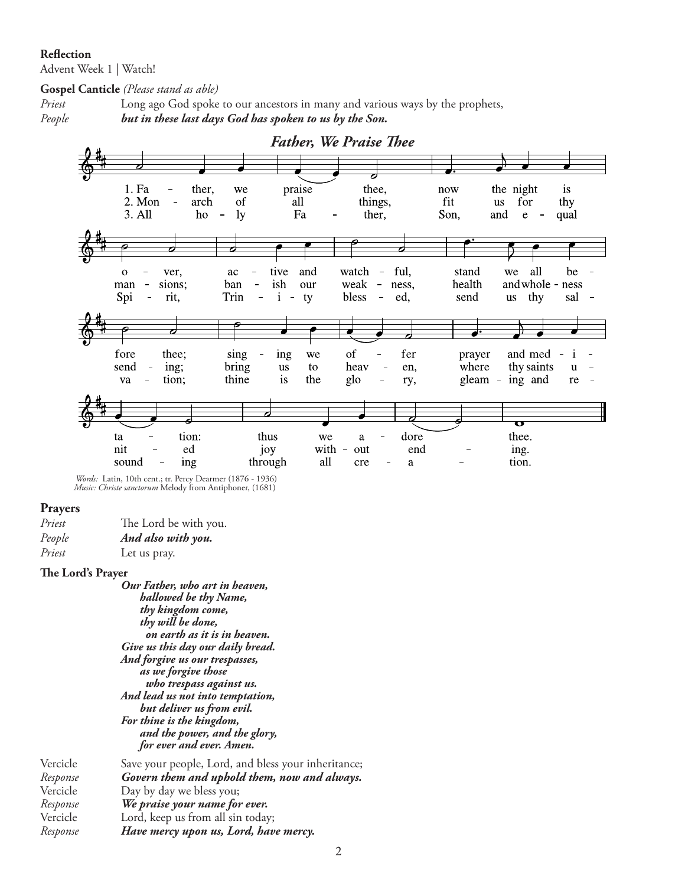#### **Reflection**

Advent Week 1 | Watch!

**Gospel Canticle** *(Please stand as able)*

*Priest* Long ago God spoke to our ancestors in many and various ways by the prophets, *People but in these last days God has spoken to us by the Son.*



 *Words:* Latin, 10th cent.; tr. Percy Dearmer (1876 - 1936)  *Music: Christe sanctorum* Melody from Antiphoner, (1681)

#### **Prayers**

| Priest | The Lord be with you. |
|--------|-----------------------|
| People | And also with you.    |
| Priest | Let us pray.          |

#### **The Lord's Prayer**

*Our Father, who art in heaven, hallowed be thy Name, thy kingdom come, thy will be done, on earth as it is in heaven. Give us this day our daily bread. And forgive us our trespasses, as we forgive those who trespass against us. And lead us not into temptation, but deliver us from evil. For thine is the kingdom, and the power, and the glory, for ever and ever. Amen.* Vercicle Save your people, Lord, and bless your inheritance;

| Response | Govern them and uphold them, now and always. |
|----------|----------------------------------------------|
| Vercicle | Day by day we bless you;                     |
| Response | We praise your name for ever.                |
| Vercicle | Lord, keep us from all sin today;            |
| Response | Have mercy upon us, Lord, have mercy.        |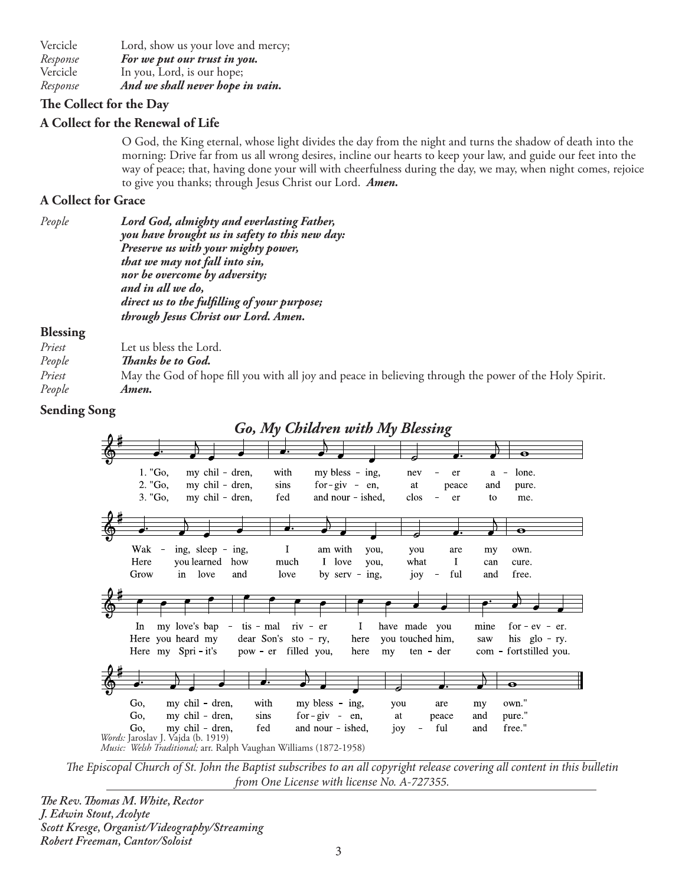Vercicle Lord, show us your love and mercy; *Response**For we put our trust in you.*  Vercicle In you, Lord, is our hope; *Response**And we shall never hope in vain.*

# **The Collect for the Day**

# **A Collect for the Renewal of Life**

O God, the King eternal, whose light divides the day from the night and turns the shadow of death into the morning: Drive far from us all wrong desires, incline our hearts to keep your law, and guide our feet into the way of peace; that, having done your will with cheerfulness during the day, we may, when night comes, rejoice to give you thanks; through Jesus Christ our Lord. *Amen.*

## **A Collect for Grace**

| People | Lord God, almighty and everlasting Father,     |
|--------|------------------------------------------------|
|        | you have brought us in safety to this new day: |
|        | Preserve us with your mighty power,            |
|        | that we may not fall into sin,                 |
|        | nor be overcome by adversity;                  |
|        | and in all we do,                              |
|        | direct us to the fulfilling of your purpose;   |
|        | through Jesus Christ our Lord. Amen.           |
|        |                                                |

### **Blessing**

| Priest | Let us bless the Lord.                                                                                 |
|--------|--------------------------------------------------------------------------------------------------------|
| People | <i>Thanks be to God.</i>                                                                               |
| Priest | May the God of hope fill you with all joy and peace in believing through the power of the Holy Spirit. |
| People | Amen.                                                                                                  |
|        |                                                                                                        |

## **Sending Song**



*The Episcopal Church of St. John the Baptist subscribes to an all copyright release covering all content in this bulletin from One License with license No. A-727355.*

*The Rev. Thomas M. White, Rector J. Edwin Stout, Acolyte Scott Kresge, Organist/Videography/Streaming Robert Freeman, Cantor/Soloist*